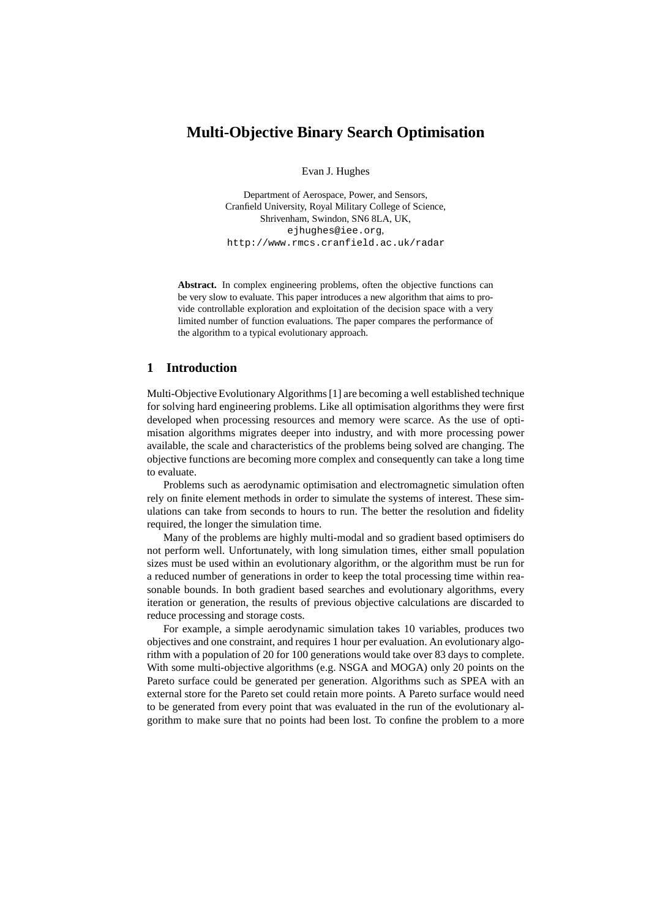# **Multi-Objective Binary Search Optimisation**

Evan J. Hughes

Department of Aerospace, Power, and Sensors, Cranfield University, Royal Military College of Science, Shrivenham, Swindon, SN6 8LA, UK, ejhughes@iee.org, http://www.rmcs.cranfield.ac.uk/radar

Abstract. In complex engineering problems, often the objective functions can be very slow to evaluate. This paper introduces a new algorithm that aims to provide controllable exploration and exploitation of the decision space with a very limited number of function evaluations. The paper compares the performance of the algorithm to a typical evolutionary approach.

## **1 Introduction**

Multi-Objective Evolutionary Algorithms [1] are becoming a well established technique for solving hard engineering problems. Like all optimisation algorithms they were first developed when processing resources and memory were scarce. As the use of optimisation algorithms migrates deeper into industry, and with more processing power available, the scale and characteristics of the problems being solved are changing. The objective functions are becoming more complex and consequently can take a long time to evaluate.

Problems such as aerodynamic optimisation and electromagnetic simulation often rely on finite element methods in order to simulate the systems of interest. These simulations can take from seconds to hours to run. The better the resolution and fidelity required, the longer the simulation time.

Many of the problems are highly multi-modal and so gradient based optimisers do not perform well. Unfortunately, with long simulation times, either small population sizes must be used within an evolutionary algorithm, or the algorithm must be run for a reduced number of generations in order to keep the total processing time within reasonable bounds. In both gradient based searches and evolutionary algorithms, every iteration or generation, the results of previous objective calculations are discarded to reduce processing and storage costs.

For example, a simple aerodynamic simulation takes 10 variables, produces two objectives and one constraint, and requires 1 hour per evaluation. An evolutionary algorithm with a population of 20 for 100 generations would take over 83 days to complete. With some multi-objective algorithms (e.g. NSGA and MOGA) only 20 points on the Pareto surface could be generated per generation. Algorithms such as SPEA with an external store for the Pareto set could retain more points. A Pareto surface would need to be generated from every point that was evaluated in the run of the evolutionary algorithm to make sure that no points had been lost. To confine the problem to a more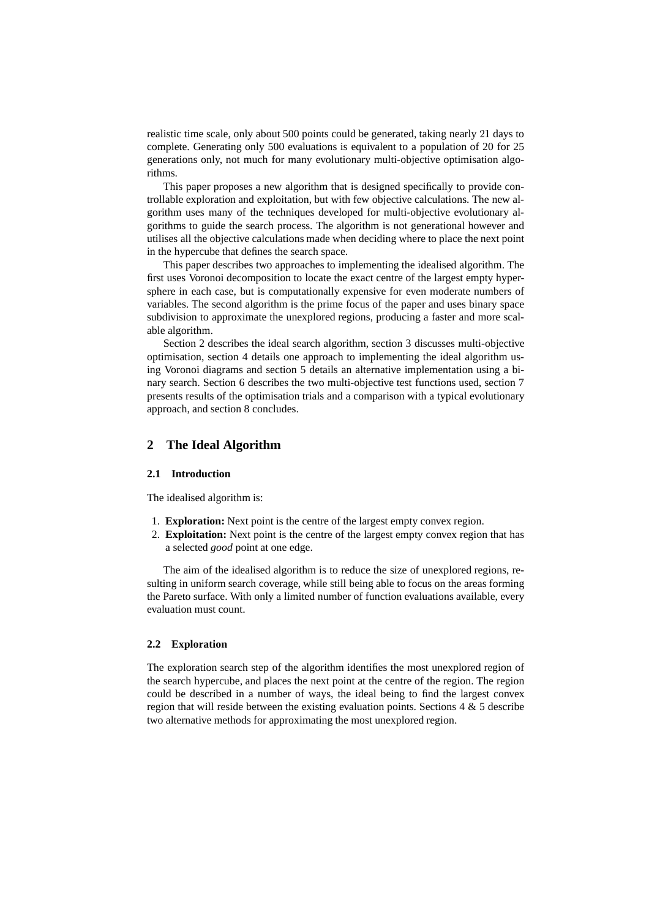realistic time scale, only about 500 points could be generated, taking nearly <sup>21</sup> days to complete. Generating only 500 evaluations is equivalent to a population of 20 for 25 generations only, not much for many evolutionary multi-objective optimisation algorithms.

This paper proposes a new algorithm that is designed specifically to provide controllable exploration and exploitation, but with few objective calculations. The new algorithm uses many of the techniques developed for multi-objective evolutionary algorithms to guide the search process. The algorithm is not generational however and utilises all the objective calculations made when deciding where to place the next point in the hypercube that defines the search space.

This paper describes two approaches to implementing the idealised algorithm. The first uses Voronoi decomposition to locate the exact centre of the largest empty hypersphere in each case, but is computationally expensive for even moderate numbers of variables. The second algorithm is the prime focus of the paper and uses binary space subdivision to approximate the unexplored regions, producing a faster and more scalable algorithm.

Section 2 describes the ideal search algorithm, section 3 discusses multi-objective optimisation, section 4 details one approach to implementing the ideal algorithm using Voronoi diagrams and section 5 details an alternative implementation using a binary search. Section 6 describes the two multi-objective test functions used, section 7 presents results of the optimisation trials and a comparison with a typical evolutionary approach, and section 8 concludes.

### **2 The Ideal Algorithm**

#### **2.1 Introduction**

The idealised algorithm is:

- 1. **Exploration:** Next point is the centre of the largest empty convex region.
- 2. **Exploitation:** Next point is the centre of the largest empty convex region that has a selected *good* point at one edge.

The aim of the idealised algorithm is to reduce the size of unexplored regions, resulting in uniform search coverage, while still being able to focus on the areas forming the Pareto surface. With only a limited number of function evaluations available, every evaluation must count.

#### **2.2 Exploration**

The exploration search step of the algorithm identifies the most unexplored region of the search hypercube, and places the next point at the centre of the region. The region could be described in a number of ways, the ideal being to find the largest convex region that will reside between the existing evaluation points. Sections  $4 \& 5$  describe two alternative methods for approximating the most unexplored region.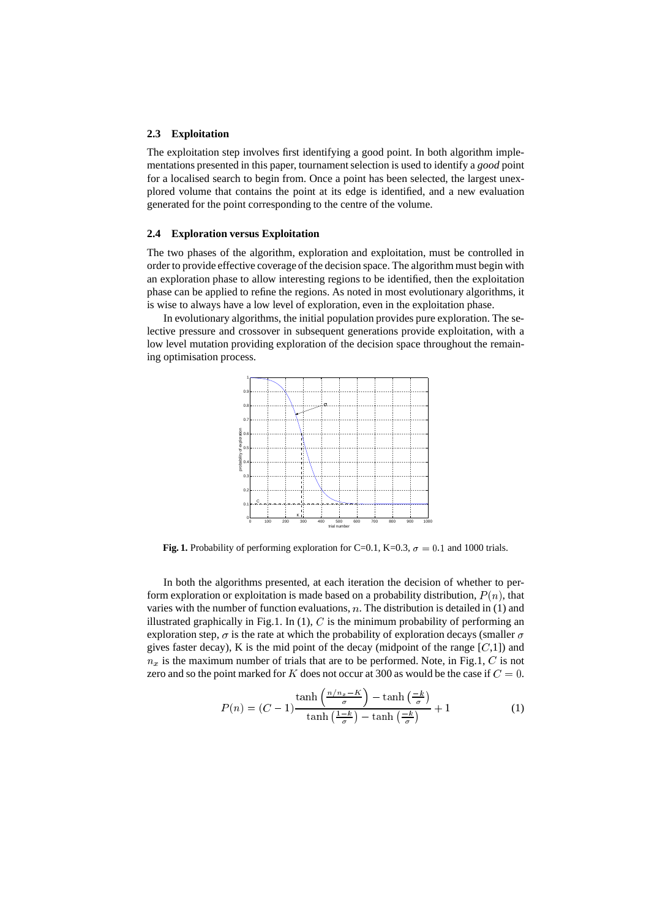#### **2.3 Exploitation**

The exploitation step involves first identifying a good point. In both algorithm implementations presented in this paper, tournament selection is used to identify a *good* point for a localised search to begin from. Once a point has been selected, the largest unexplored volume that contains the point at its edge is identified, and a new evaluation generated for the point corresponding to the centre of the volume.

#### **2.4 Exploration versus Exploitation**

The two phases of the algorithm, exploration and exploitation, must be controlled in order to provide effective coverage of the decision space. The algorithm must begin with an exploration phase to allow interesting regions to be identified, then the exploitation phase can be applied to refine the regions. As noted in most evolutionary algorithms, it is wise to always have a low level of exploration, even in the exploitation phase.

In evolutionary algorithms, the initial population provides pure exploration. The selective pressure and crossover in subsequent generations provide exploitation, with a low level mutation providing exploration of the decision space throughout the remaining optimisation process.



**Fig. 1.** Probability of performing exploration for C=0.1, K=0.3,  $\sigma = 0.1$  and 1000 trials.

In both the algorithms presented, at each iteration the decision of whether to perform exploration or exploitation is made based on a probability distribution,  $P(n)$ , that varies with the number of function evaluations,  $n$ . The distribution is detailed in  $(1)$  and illustrated graphically in Fig.1. In  $(1)$ , C is the minimum probability of performing an exploration step,  $\sigma$  is the rate at which the probability of exploration decays (smaller  $\sigma$ gives faster decay), K is the mid point of the decay (midpoint of the range  $[C,1]$ ) and  $n_x$  is the maximum number of trials that are to be performed. Note, in Fig.1, C is not zero and so the point marked for K does not occur at 300 as would be the case if  $C = 0$ .

$$
P(n) = (C - 1) \frac{\tanh\left(\frac{n/n_x - K}{\sigma}\right) - \tanh\left(\frac{-k}{\sigma}\right)}{\tanh\left(\frac{1 - k}{\sigma}\right) - \tanh\left(\frac{-k}{\sigma}\right)} + 1 \tag{1}
$$

 $\sim$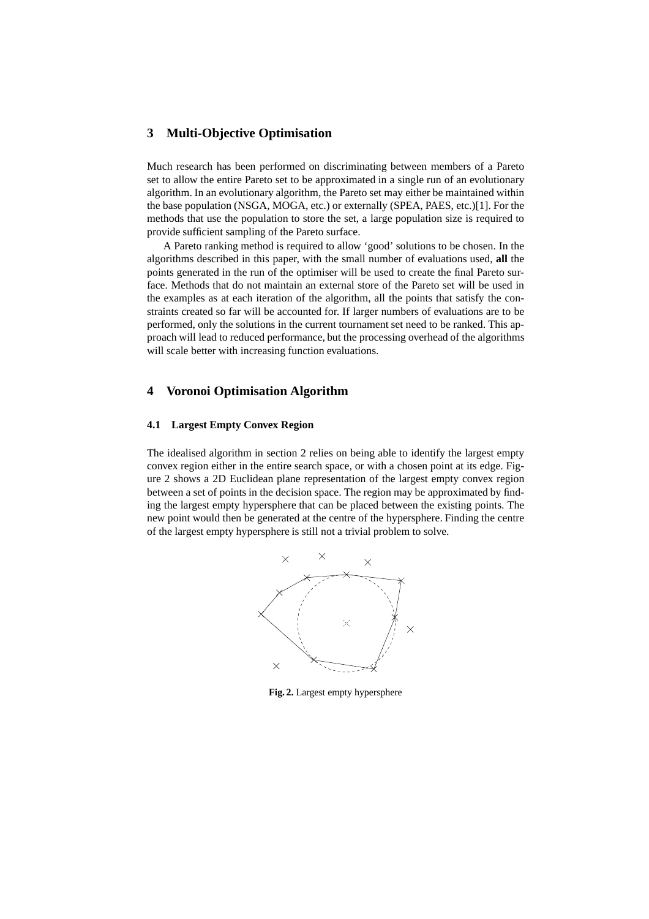# **3 Multi-Objective Optimisation**

Much research has been performed on discriminating between members of a Pareto set to allow the entire Pareto set to be approximated in a single run of an evolutionary algorithm. In an evolutionary algorithm, the Pareto set may either be maintained within the base population (NSGA, MOGA, etc.) or externally (SPEA, PAES, etc.)[1]. For the methods that use the population to store the set, a large population size is required to provide sufficient sampling of the Pareto surface.

A Pareto ranking method is required to allow 'good' solutions to be chosen. In the algorithms described in this paper, with the small number of evaluations used, **all** the points generated in the run of the optimiser will be used to create the final Pareto surface. Methods that do not maintain an external store of the Pareto set will be used in the examples as at each iteration of the algorithm, all the points that satisfy the constraints created so far will be accounted for. If larger numbers of evaluations are to be performed, only the solutions in the current tournament set need to be ranked. This approach will lead to reduced performance, but the processing overhead of the algorithms will scale better with increasing function evaluations.

## **4 Voronoi Optimisation Algorithm**

#### **4.1 Largest Empty Convex Region**

The idealised algorithm in section 2 relies on being able to identify the largest empty convex region either in the entire search space, or with a chosen point at its edge. Figure 2 shows a 2D Euclidean plane representation of the largest empty convex region between a set of points in the decision space. The region may be approximated by finding the largest empty hypersphere that can be placed between the existing points. The new point would then be generated at the centre of the hypersphere. Finding the centre of the largest empty hypersphere is still not a trivial problem to solve.



**Fig. 2.** Largest empty hypersphere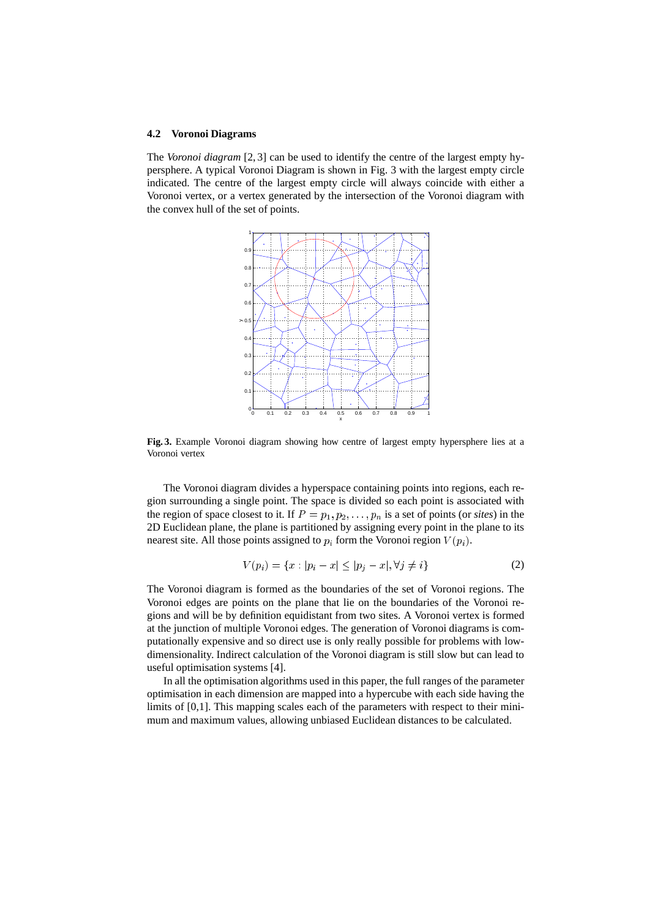#### **4.2 Voronoi Diagrams**

The *Voronoi diagram* [2, 3] can be used to identify the centre of the largest empty hypersphere. A typical Voronoi Diagram is shown in Fig. 3 with the largest empty circle indicated. The centre of the largest empty circle will always coincide with either a Voronoi vertex, or a vertex generated by the intersection of the Voronoi diagram with the convex hull of the set of points.



**Fig. 3.** Example Voronoi diagram showing how centre of largest empty hypersphere lies at a Voronoi vertex

The Voronoi diagram divides a hyperspace containing points into regions, each region surrounding a single point. The space is divided so each point is associated with the region of space closest to it. If  $P = p_1, p_2, \ldots, p_n$  is a set of points (or *sites*) in the 2D Euclidean plane, the plane is partitioned by assigning every point in the plane to its nearest site. All those points assigned to  $p_i$  form the Voronoi region  $V(p_i)$ .

$$
V(p_i) = \{x : |p_i - x| \le |p_j - x|, \forall j \neq i\}
$$
 (2)

The Voronoi diagram is formed as the boundaries of the set of Voronoi regions. The Voronoi edges are points on the plane that lie on the boundaries of the Voronoi regions and will be by definition equidistant from two sites. A Voronoi vertex is formed at the junction of multiple Voronoi edges. The generation of Voronoi diagrams is computationally expensive and so direct use is only really possible for problems with lowdimensionality. Indirect calculation of the Voronoi diagram is still slow but can lead to useful optimisation systems [4].

In all the optimisation algorithms used in this paper, the full ranges of the parameter optimisation in each dimension are mapped into a hypercube with each side having the limits of [0,1]. This mapping scales each of the parameters with respect to their minimum and maximum values, allowing unbiased Euclidean distances to be calculated.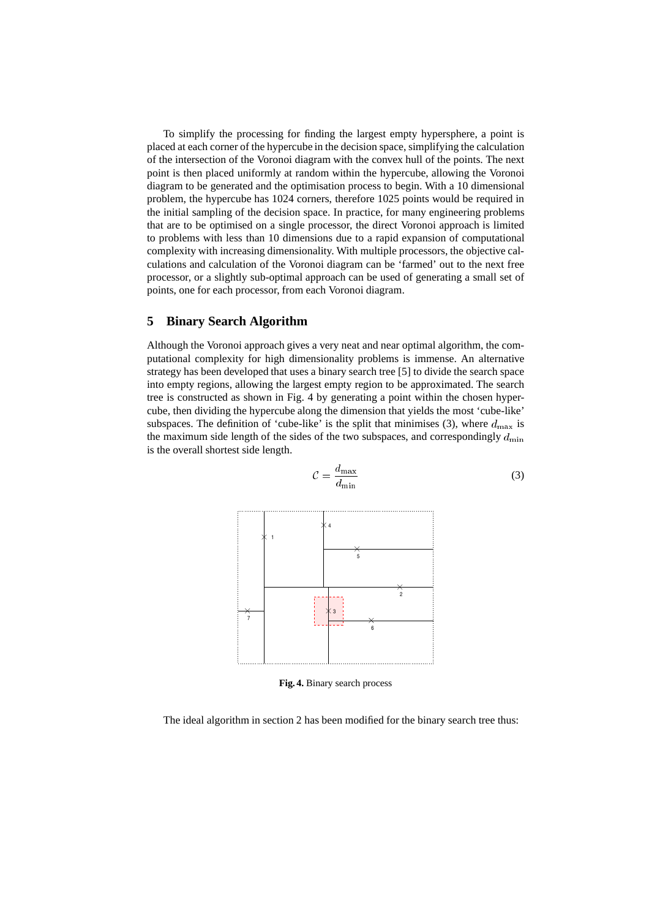To simplify the processing for finding the largest empty hypersphere, a point is placed at each corner of the hypercube in the decision space, simplifying the calculation of the intersection of the Voronoi diagram with the convex hull of the points. The next point is then placed uniformly at random within the hypercube, allowing the Voronoi diagram to be generated and the optimisation process to begin. With a 10 dimensional problem, the hypercube has 1024 corners, therefore 1025 points would be required in the initial sampling of the decision space. In practice, for many engineering problems that are to be optimised on a single processor, the direct Voronoi approach is limited to problems with less than 10 dimensions due to a rapid expansion of computational complexity with increasing dimensionality. With multiple processors, the objective calculations and calculation of the Voronoi diagram can be 'farmed' out to the next free processor, or a slightly sub-optimal approach can be used of generating a small set of points, one for each processor, from each Voronoi diagram.

#### **5 Binary Search Algorithm**

Although the Voronoi approach gives a very neat and near optimal algorithm, the computational complexity for high dimensionality problems is immense. An alternative strategy has been developed that uses a binary search tree [5] to divide the search space into empty regions, allowing the largest empty region to be approximated. The search tree is constructed as shown in Fig. 4 by generating a point within the chosen hypercube, then dividing the hypercube along the dimension that yields the most 'cube-like' subspaces. The definition of 'cube-like' is the split that minimises (3), where  $d_{\text{max}}$  is the maximum side length of the sides of the two subspaces, and correspondingly  $d_{\min}$ is the overall shortest side length.



 $\mathcal{C} = \frac{\cdot \cdot \cdot \cdot \cdot}{\cdot \cdot \cdot \cdot \cdot}$ . . . . . . . . (3)

**Fig. 4.** Binary search process

The ideal algorithm in section 2 has been modified for the binary search tree thus: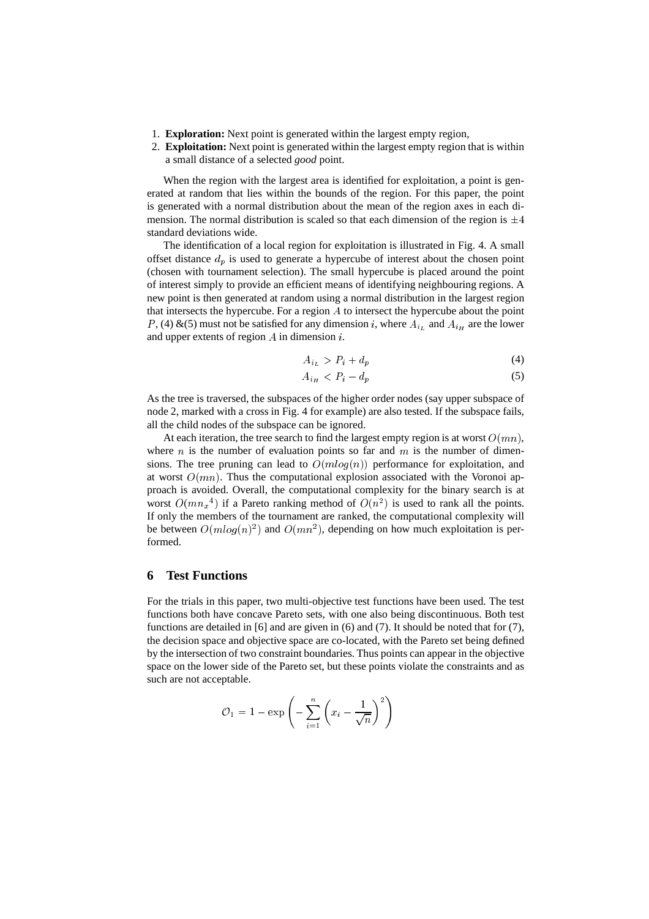- 1. **Exploration:** Next point is generated within the largest empty region,
- 2. **Exploitation:** Next point is generated within the largest empty region that is within a small distance of a selected *good* point.

When the region with the largest area is identified for exploitation, a point is generated at random that lies within the bounds of the region. For this paper, the point is generated with a normal distribution about the mean of the region axes in each dimension. The normal distribution is scaled so that each dimension of the region is  $\pm 4$ standard deviations wide.

The identification of a local region for exploitation is illustrated in Fig. 4. A small offset distance  $d_p$  is used to generate a hypercube of interest about the chosen point (chosen with tournament selection). The small hypercube is placed around the point of interest simply to provide an efficient means of identifying neighbouring regions. A new point is then generated at random using a normal distribution in the largest region that intersects the hypercube. For a region  $A$  to intersect the hypercube about the point P, (4) &(5) must not be satisfied for any dimension i, where  $A_{i_L}$  and  $A_{i_H}$  are the lower and upper extents of region  $A$  in dimension  $i$ .

$$
A_{i_L} > P_i + d_p \tag{4}
$$

$$
A_{i_H} < P_i - d_p \tag{5}
$$

As the tree is traversed, the subspaces of the higher order nodes (say upper subspace of node 2, marked with a cross in Fig. 4 for example) are also tested. If the subspace fails, all the child nodes of the subspace can be ignored.

At each iteration, the tree search to find the largest empty region is at worst  $O(mn)$ . where n is the number of evaluation points so far and  $m$  is the number of dimensions. The tree pruning can lead to  $O(m \log(n))$  performance for exploitation, and at worst  $O(mn)$ . Thus the computational explosion associated with the Voronoi approach is avoided. Overall, the computational complexity for the binary search is at worst  $O(mn_x^4)$  if a Pareto ranking method of  $O(n^2)$  is used to rank all the points. If only the members of the tournament are ranked, the computational complexity will be between  $O(m \log(n)^2)$  and  $O(mn^2)$ , depending on how much exploitation is performed.

#### **6 Test Functions**

For the trials in this paper, two multi-objective test functions have been used. The test functions both have concave Pareto sets, with one also being discontinuous. Both test functions are detailed in [6] and are given in  $(6)$  and  $(7)$ . It should be noted that for  $(7)$ , the decision space and objective space are co-located, with the Pareto set being defined by the intersection of two constraint boundaries. Thus points can appear in the objective space on the lower side of the Pareto set, but these points violate the constraints and as such are not acceptable.

$$
\mathcal{O}_1 = 1 - \exp\left(-\sum_{i=1}^n \left(x_i - \frac{1}{\sqrt{n}}\right)^2\right)
$$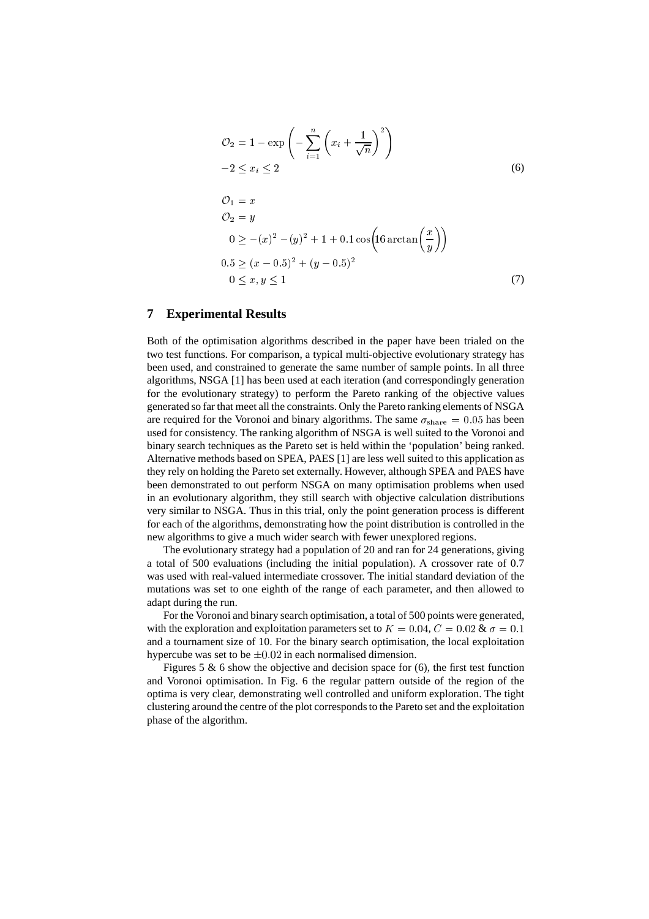$$
\mathcal{O}_2 = 1 - \exp\left(-\sum_{i=1}^n \left(x_i + \frac{1}{\sqrt{n}}\right)^2\right)
$$
  
\n
$$
-2 \le x_i \le 2
$$
  
\n
$$
\mathcal{O}_1 = x
$$
  
\n
$$
\mathcal{O}_2 = y
$$
  
\n
$$
0 \ge -(x)^2 - (y)^2 + 1 + 0.1 \cos\left(16 \arctan\left(\frac{x}{y}\right)\right)
$$
  
\n
$$
0.5 \ge (x - 0.5)^2 + (y - 0.5)^2
$$
  
\n
$$
0 \le x, y \le 1
$$
\n(7)

### **7 Experimental Results**

Both of the optimisation algorithms described in the paper have been trialed on the two test functions. For comparison, a typical multi-objective evolutionary strategy has been used, and constrained to generate the same number of sample points. In all three algorithms, NSGA [1] has been used at each iteration (and correspondingly generation for the evolutionary strategy) to perform the Pareto ranking of the objective values generated so far that meet all the constraints. Only the Pareto ranking elements of NSGA are required for the Voronoi and binary algorithms. The same  $\sigma_{\text{share}} = 0.05$  has been used for consistency. The ranking algorithm of NSGA is well suited to the Voronoi and binary search techniques as the Pareto set is held within the 'population' being ranked. Alternative methods based on SPEA, PAES [1] are less well suited to this application as they rely on holding the Pareto set externally. However, although SPEA and PAES have been demonstrated to out perform NSGA on many optimisation problems when used in an evolutionary algorithm, they still search with objective calculation distributions very similar to NSGA. Thus in this trial, only the point generation process is different for each of the algorithms, demonstrating how the point distribution is controlled in the new algorithms to give a much wider search with fewer unexplored regions.

The evolutionary strategy had a population of 20 and ran for 24 generations, giving a total of 500 evaluations (including the initial population). A crossover rate of 0.7 was used with real-valued intermediate crossover. The initial standard deviation of the mutations was set to one eighth of the range of each parameter, and then allowed to adapt during the run.

For the Voronoi and binary search optimisation, a total of 500 points were generated, with the exploration and exploitation parameters set to  $K = 0.04$ ,  $C = 0.02$  &  $\sigma = 0.1$ and a tournament size of 10. For the binary search optimisation, the local exploitation hypercube was set to be  $\pm 0.02$  in each normalised dimension.

Figures 5  $\&$  6 show the objective and decision space for (6), the first test function and Voronoi optimisation. In Fig. 6 the regular pattern outside of the region of the optima is very clear, demonstrating well controlled and uniform exploration. The tight clustering around the centre of the plot corresponds to the Pareto set and the exploitation phase of the algorithm.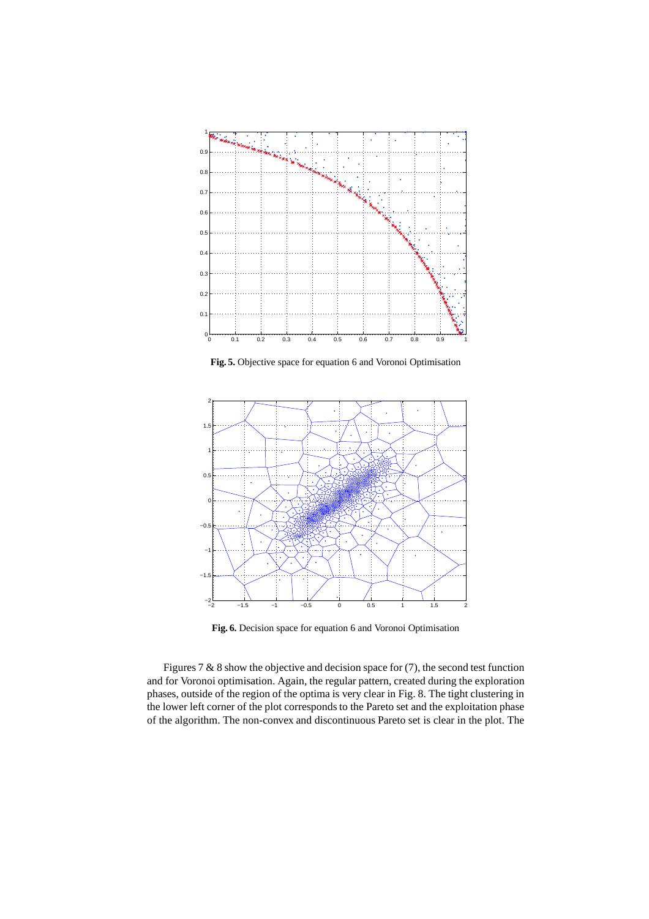

**Fig. 5.** Objective space for equation 6 and Voronoi Optimisation



**Fig. 6.** Decision space for equation 6 and Voronoi Optimisation

Figures 7 & 8 show the objective and decision space for (7), the second test function and for Voronoi optimisation. Again, the regular pattern, created during the exploration phases, outside of the region of the optima is very clear in Fig. 8. The tight clustering in the lower left corner of the plot corresponds to the Pareto set and the exploitation phase of the algorithm. The non-convex and discontinuous Pareto set is clear in the plot. The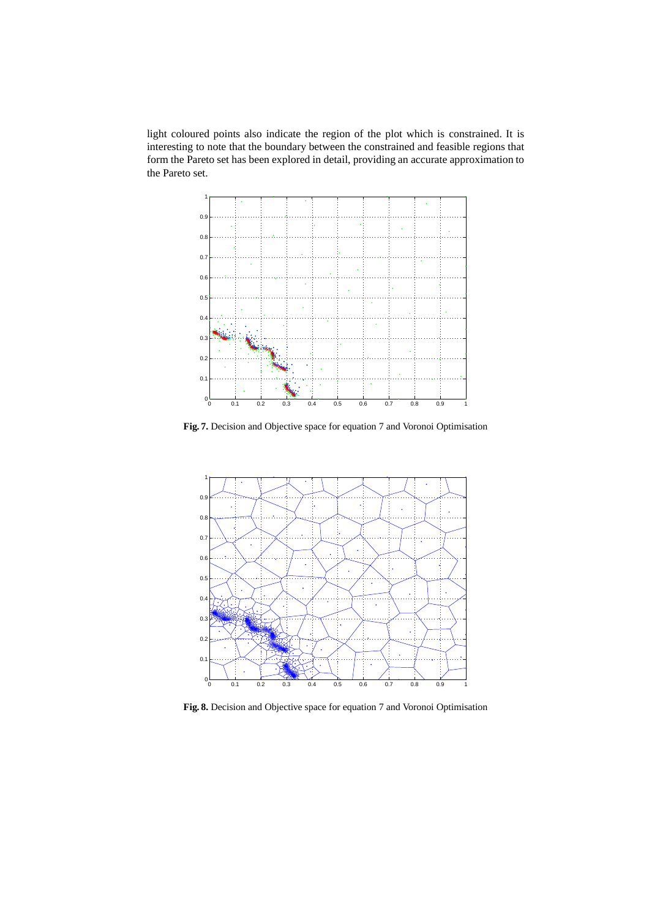light coloured points also indicate the region of the plot which is constrained. It is interesting to note that the boundary between the constrained and feasible regions that form the Pareto set has been explored in detail, providing an accurate approximation to the Pareto set.



**Fig. 7.** Decision and Objective space for equation 7 and Voronoi Optimisation



**Fig. 8.** Decision and Objective space for equation 7 and Voronoi Optimisation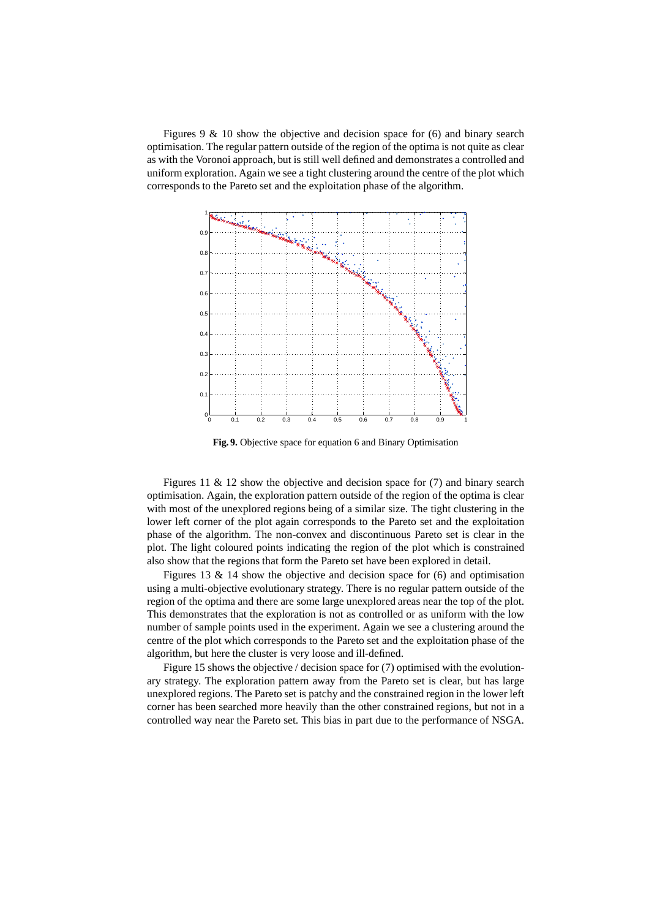Figures 9 & 10 show the objective and decision space for (6) and binary search optimisation. The regular pattern outside of the region of the optima is not quite as clear as with the Voronoi approach, but is still well defined and demonstrates a controlled and uniform exploration. Again we see a tight clustering around the centre of the plot which corresponds to the Pareto set and the exploitation phase of the algorithm.



**Fig. 9.** Objective space for equation 6 and Binary Optimisation

Figures 11 & 12 show the objective and decision space for (7) and binary search optimisation. Again, the exploration pattern outside of the region of the optima is clear with most of the unexplored regions being of a similar size. The tight clustering in the lower left corner of the plot again corresponds to the Pareto set and the exploitation phase of the algorithm. The non-convex and discontinuous Pareto set is clear in the plot. The light coloured points indicating the region of the plot which is constrained also show that the regions that form the Pareto set have been explored in detail.

Figures 13 & 14 show the objective and decision space for (6) and optimisation using a multi-objective evolutionary strategy. There is no regular pattern outside of the region of the optima and there are some large unexplored areas near the top of the plot. This demonstrates that the exploration is not as controlled or as uniform with the low number of sample points used in the experiment. Again we see a clustering around the centre of the plot which corresponds to the Pareto set and the exploitation phase of the algorithm, but here the cluster is very loose and ill-defined.

Figure 15 shows the objective / decision space for (7) optimised with the evolutionary strategy. The exploration pattern away from the Pareto set is clear, but has large unexplored regions. The Pareto set is patchy and the constrained region in the lower left corner has been searched more heavily than the other constrained regions, but not in a controlled way near the Pareto set. This bias in part due to the performance of NSGA.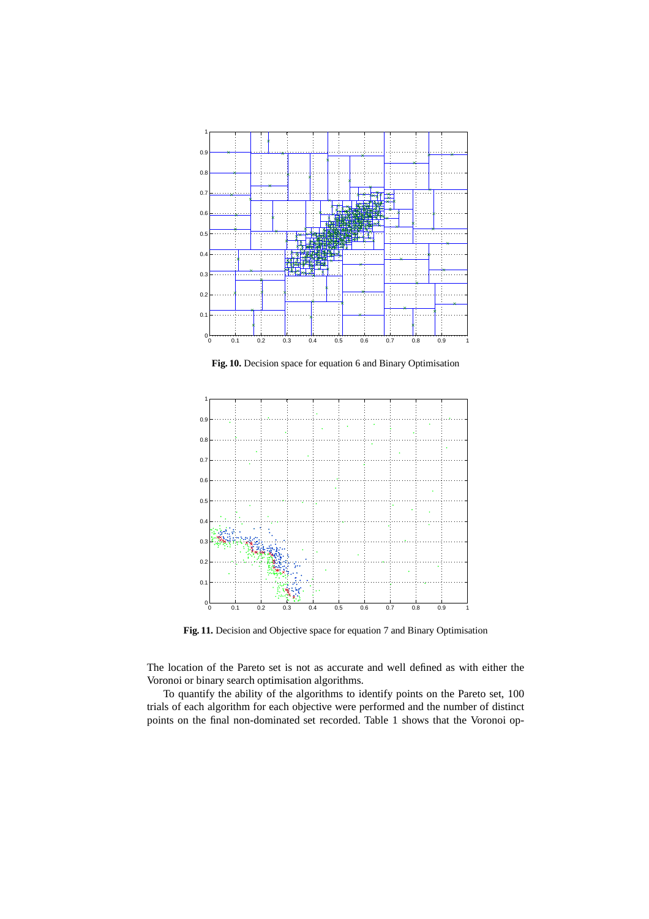

**Fig. 10.** Decision space for equation 6 and Binary Optimisation



**Fig. 11.** Decision and Objective space for equation 7 and Binary Optimisation

The location of the Pareto set is not as accurate and well defined as with either the Voronoi or binary search optimisation algorithms.

To quantify the ability of the algorithms to identify points on the Pareto set, 100 trials of each algorithm for each objective were performed and the number of distinct points on the final non-dominated set recorded. Table 1 shows that the Voronoi op-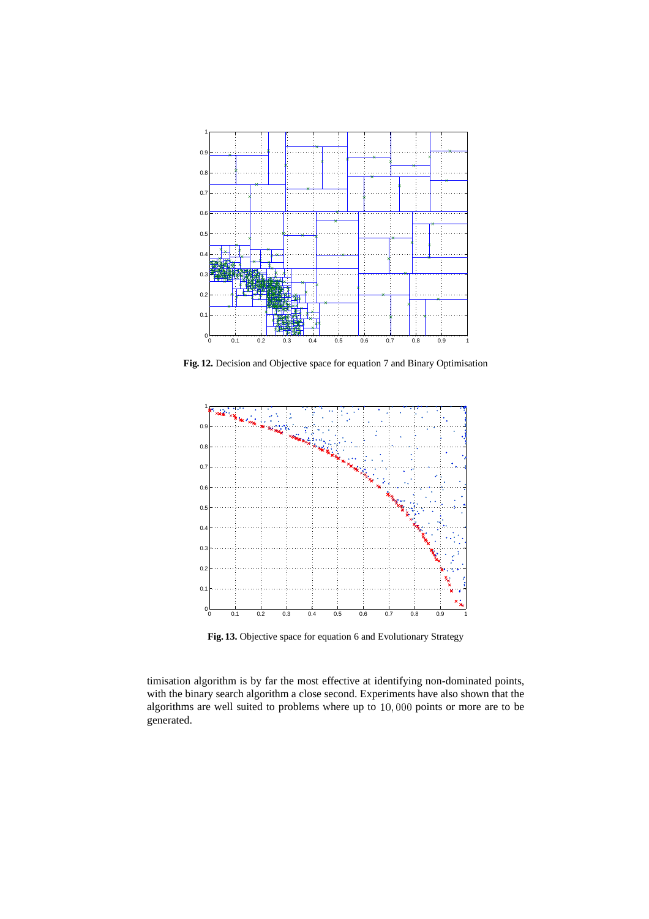

**Fig. 12.** Decision and Objective space for equation 7 and Binary Optimisation



**Fig. 13.** Objective space for equation 6 and Evolutionary Strategy

timisation algorithm is by far the most effective at identifying non-dominated points, with the binary search algorithm a close second. Experiments have also shown that the algorithms are well suited to problems where up to 10; <sup>000</sup> points or more are to be generated.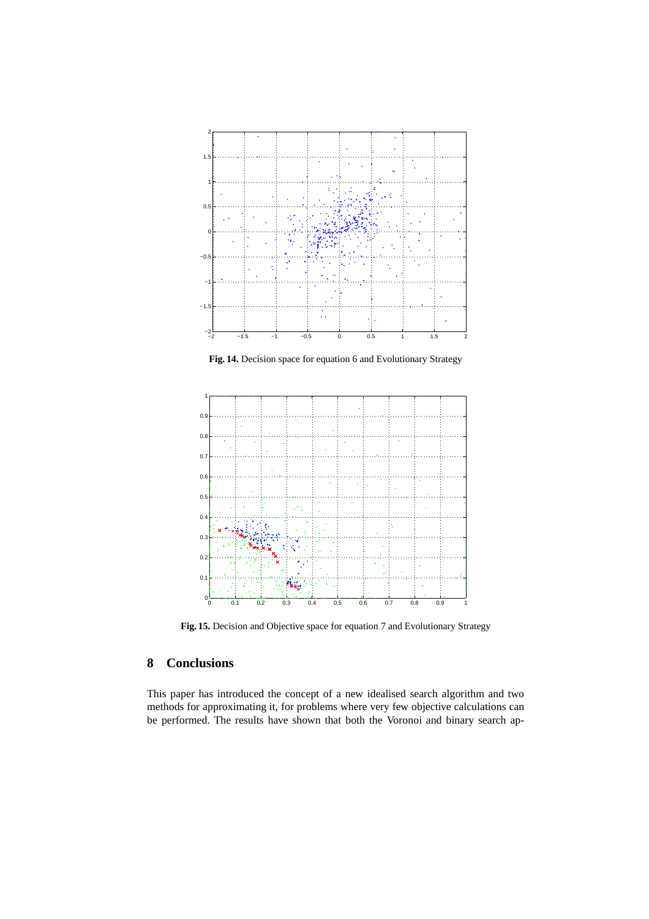

**Fig. 14.** Decision space for equation 6 and Evolutionary Strategy



**Fig. 15.** Decision and Objective space for equation 7 and Evolutionary Strategy

# **8 Conclusions**

This paper has introduced the concept of a new idealised search algorithm and two methods for approximating it, for problems where very few objective calculations can be performed. The results have shown that both the Voronoi and binary search ap-